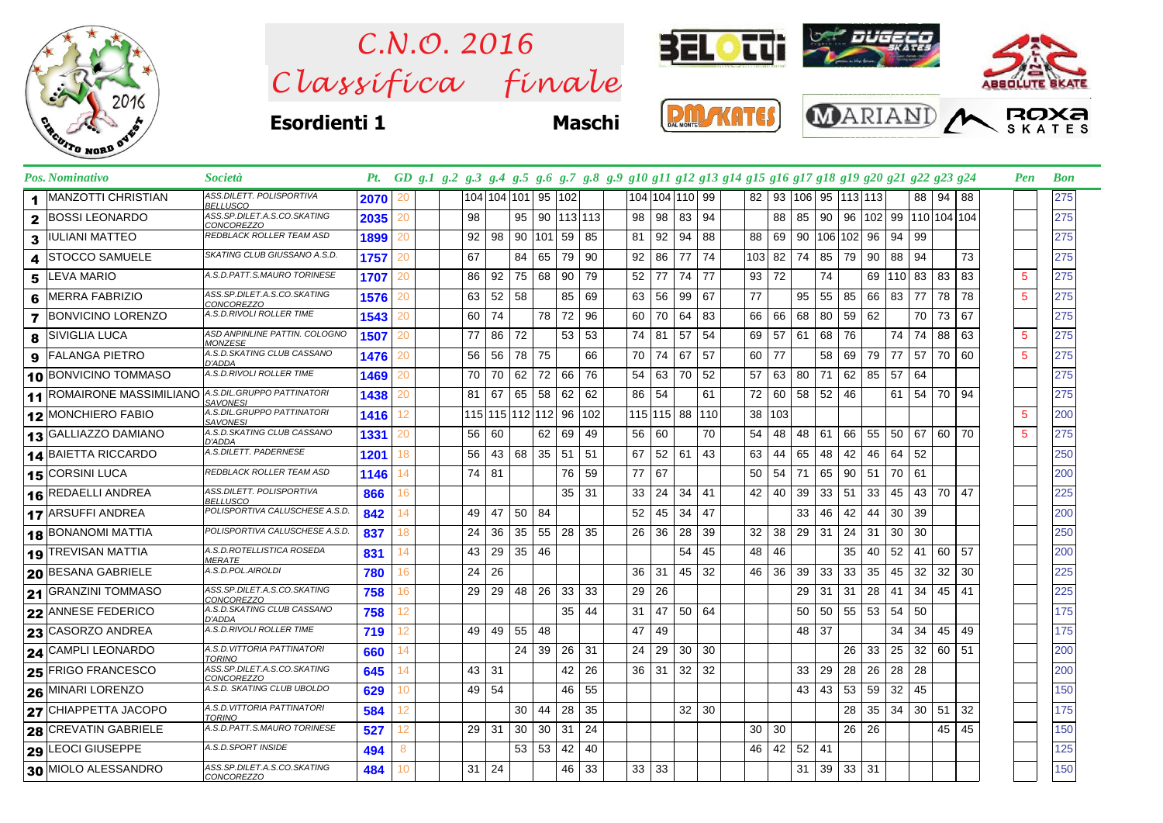

 $Clas$ s *ifica* finale *C.N.O. 2016*



**Esordienti 1 Maschi**







|                      | Pos. Nominativo                  | <i>Società</i>                                   |      |    |    |                    |              |        |                 |              |                 |      |                |     | Pt. GD g.1 g.2 g.3 g.4 g.5 g.6 g.7 g.8 g.9 g10 g11 g12 g13 g14 g15 g16 g17 g18 g19 g20 g21 g22 g23 g24 |     |       |     |                           |     |                                 |    |          |    | Pen | <b>Bon</b> |
|----------------------|----------------------------------|--------------------------------------------------|------|----|----|--------------------|--------------|--------|-----------------|--------------|-----------------|------|----------------|-----|--------------------------------------------------------------------------------------------------------|-----|-------|-----|---------------------------|-----|---------------------------------|----|----------|----|-----|------------|
| $\blacktriangleleft$ | <b>MANZOTTI CHRISTIAN</b>        | ASS.DILETT. POLISPORTIVA<br><b>BELLUSCO</b>      | 2070 | 20 |    | 104 104 101 95 102 |              |        |                 |              |                 |      | 104 104 110 99 |     | 82 <sub>1</sub>                                                                                        |     |       |     | 93   106   95   113   113 |     |                                 |    | 88 94 88 |    |     | 275        |
| $\mathbf{2}$         | <b>BOSSI LEONARDO</b>            | ASS.SP.DILET.A.S.CO.SKATING<br>CONCOREZZO        | 2035 | 20 | 98 |                    | 95           |        |                 | 90 113 113   | 98 <sup>1</sup> |      | 98 83          | 94  |                                                                                                        | 88  | 85    | 90  |                           |     | 96   102   99   110   104   104 |    |          |    |     | 275        |
| 3                    | <b>IULIANI MATTEO</b>            | REDBLACK ROLLER TEAM ASD                         | 1899 | 20 | 92 | 98                 | 90           | 101 59 |                 | 85           | 81              | 92   | 94             | 88  | 88                                                                                                     | 69  | 90    | 106 | 102                       | 96  | 94                              | 99 |          |    |     | 275        |
| 4                    | <b>ISTOCCO SAMUELE</b>           | SKATING CLUB GIUSSANO A.S.D.                     | 1757 | 20 | 67 |                    | 84           | 65     | 79              | 90           | 92              | 86   | 77             | 74  | 1031                                                                                                   | 82  | 74    | 85  | 79                        | 90  | 88                              | 94 |          | 73 |     | 275        |
| 5                    | <b>LEVA MARIO</b>                | A.S.D.PATT.S.MAURO TORINESE                      | 1707 | 20 | 86 | 92                 | 75           | 68     | 90              | 79           | $52$   77       |      | 74             | 77  | 93                                                                                                     | 72  |       | 74  |                           | 69  | 110 83                          |    | 83       | 83 | 5   | 275        |
| 6                    | MERRA FABRIZIO                   | ASS.SP.DILET.A.S.CO.SKATING<br>CONCOREZZO        | 1576 | 20 | 63 |                    | $52 \mid 58$ |        | 85              | 69           | 63 I            | 56   | 99             | 67  | 77                                                                                                     |     | 95    | 55  | 85                        | 66  | 83                              | 77 | 78       | 78 | 5   | 275        |
| $\overline{7}$       | <b>BONVICINO LORENZO</b>         | A.S.D.RIVOLI ROLLER TIME                         | 1543 | 20 | 60 | 74                 |              | 78     | 72              | 96           | 60              | 70   | 64             | 83  | 66                                                                                                     | 66  | 68    | 80  | 59                        | 62  |                                 | 70 | 73       | 67 |     | 275        |
| 8                    | <b>SIVIGLIA LUCA</b>             | ASD ANPINLINE PATTIN. COLOGNO<br><b>MONZESE</b>  | 1507 | 20 | 77 | 86                 | 72           |        | 53 <sub>1</sub> | -53          | 74 81           |      | 57             | 54  | 69                                                                                                     | 57  | 61    | 68  | 76                        |     | 74                              | 74 | 88       | 63 | 5   | 275        |
| 9                    | <b>FALANGA PIETRO</b>            | A.S.D.SKATING CLUB CASSANO<br>D'ADDA             | 1476 | 20 | 56 | 56                 | 78           | 75     |                 | 66           | 70 l            | 74   | 67             | 57  | 60                                                                                                     | 77  |       | 58  | 69                        | 79  | 77                              | 57 | 70       | 60 | 5   | 275        |
|                      | 10 BONVICINO TOMMASO             | A.S.D.RIVOLI ROLLER TIME                         | 1469 | 20 | 70 | 70                 | 62           |        | 72 66 76        |              | 54 <sub>1</sub> | 63 I | 70             | 52  | 57                                                                                                     | 63  | 80    | 71  | 62                        | 85  | 57                              | 64 |          |    |     | 275        |
|                      | <b>11 ROMAIRONE MASSIMILIANO</b> | A.S.DIL.GRUPPO PATTINATORI<br><b>SAVONESI</b>    | 1438 | 20 | 81 | 67                 | 65           | 58     | 62              | 62           | 86 54           |      |                | 61  | 72                                                                                                     | 60  | 58    | 52  | 46                        |     | 61                              | 54 | 70       | 94 |     | 275        |
|                      | 12 MONCHIERO FABIO               | A.S.DIL.GRUPPO PATTINATORI<br><b>SAVONESI</b>    | 1416 | 12 |    | 115 115 112 112 96 |              |        |                 | 102          |                 |      | 115 115 88     | 110 | 38                                                                                                     | 103 |       |     |                           |     |                                 |    |          |    | 5   | 200        |
|                      | 13 GALLIAZZO DAMIANO             | A.S.D.SKATING CLUB CASSANO<br>D'ADDA             | 1331 | 20 | 56 | 60                 |              | 62     | 69              | 49           | 56 60           |      |                | 70  | 54                                                                                                     | 48  | 48    | 61  | 66                        | 55  | 50                              | 67 | 60       | 70 | 5   | 275        |
|                      | 14 BAIETTA RICCARDO              | A.S.DILETT. PADERNESE                            | 1201 | 18 | 56 |                    | 43 68        | 35     | 51 51           |              | 67              |      | $52 \mid 61$   | 43  | 63                                                                                                     | 44  | 65    | 48  | 42                        | 46  | 64                              | 52 |          |    |     | 250        |
|                      | 15 CORSINI LUCA                  | REDBLACK ROLLER TEAM ASD                         | 1146 | 14 | 74 | 81                 |              |        | 76              | 59           | 77 67           |      |                |     | 50                                                                                                     | 54  | 71    | 65  | 90                        | -51 | 70                              | 61 |          |    |     | 200        |
| 16                   | REDAELLI ANDREA                  | ASS.DILETT. POLISPORTIVA<br>BELLUSCO             | 866  | 16 |    |                    |              |        |                 | $35 \mid 31$ | 33 <sup>1</sup> | 24   | 34             | 41  | 42                                                                                                     | 40  | 39    | 33  | 51                        | 33  | 45                              |    | 43 70    | 47 |     | 225        |
|                      | 17 ARSUFFI ANDREA                | POLISPORTIVA CALUSCHESE A.S.D.                   | 842  | 14 | 49 | 47                 | 50           | 84     |                 |              | 52              | 45   | 34             | 47  |                                                                                                        |     | 33    | 46  | 42                        | 44  | 30                              | 39 |          |    |     | 200        |
|                      | <b>18 BONANOMI MATTIA</b>        | POLISPORTIVA CALUSCHESE A.S.D.                   | 837  | 18 | 24 | 36                 | 35           | 55     | 28 <sup>1</sup> | -35          | 26              | -36  | 28             | 39  | 32                                                                                                     | 38  | 29    | -31 | 24                        | -31 | 30                              | 30 |          |    |     | 250        |
|                      | 19 TREVISAN MATTIA               | A.S.D.ROTELLISTICA ROSEDA<br><i>MERATE</i>       | 831  | 14 | 43 | 29                 | 35           | 46     |                 |              |                 |      | 54             | 45  | 48                                                                                                     | 46  |       |     | 35                        | 40  | 52                              | 41 | 60       | 57 |     | 200        |
|                      | 20 BESANA GABRIELE               | A.S.D.POL.AIROLDI                                | 780  | 16 | 24 | 26                 |              |        |                 |              | 36              | -31  | 45             | 32  | 46                                                                                                     | 36  | 39    | 33  | 33                        | 35  | 45                              | 32 | 32       | 30 |     | 225        |
|                      | 21 GRANZINI TOMMASO              | ASS.SP.DILET.A.S.CO.SKATING<br><i>CONCOREZZO</i> | 758  | 16 | 29 | 29                 | 48           | 26     | 33              | 33           | 29              | 26   |                |     |                                                                                                        |     | 29    | -31 | 31                        | 28  | 41                              | 34 | 45       | 41 |     | 225        |
| 22                   | <b>ANNESE FEDERICO</b>           | A.S.D.SKATING CLUB CASSANO<br>D'ADDA             | 758  | 12 |    |                    |              |        |                 | $35 \mid 44$ | 31              | 47   | 50             | 64  |                                                                                                        |     | 50    | 50  | 55                        | 53  | 54                              | 50 |          |    |     | 175        |
|                      | 23 CASORZO ANDREA                | A.S.D.RIVOLI ROLLER TIME                         | 719  | 12 | 49 | 49                 | 55           | 48     |                 |              | 47              | 49   |                |     |                                                                                                        |     | 48    | 37  |                           |     | 34                              | 34 | 45       | 49 |     | 175        |
| 24                   | CAMPLI LEONARDO                  | A.S.D.VITTORIA PATTINATORI<br><b>TORINO</b>      | 660  | 14 |    |                    | 24           | 39     | $26$ 31         |              | 24 <sub>1</sub> | 29   | 30             | 30  |                                                                                                        |     |       |     | 26                        | 33  | 25                              | 32 | 60 I     | 51 |     | 200        |
|                      | 25 FRIGO FRANCESCO               | ASS.SP.DILET.A.S.CO.SKATING<br>CONCOREZZO        | 645  | 14 |    | $43 \mid 31$       |              |        | 42              | 26           | $36 \mid 31$    |      | 32             | 32  |                                                                                                        |     | 33    | 29  | 28                        | 26  | 28                              | 28 |          |    |     | 200        |
|                      | 26 MINARI LORENZO                | A.S.D. SKATING CLUB UBOLDO                       | 629  | 10 | 49 | 54                 |              |        | 46              | 55           |                 |      |                |     |                                                                                                        |     | 43    | 43  | 53                        | 59  | 32                              | 45 |          |    |     | 150        |
|                      | 27 CHIAPPETTA JACOPO             | A.S.D.VITTORIA PATTINATORI<br>TORINO             | 584  | 12 |    |                    | 30           | 44     | 28              | 35           |                 |      | 32             | 30  |                                                                                                        |     |       |     | 28                        | 35  | 34                              | 30 | 51       | 32 |     | 175        |
| 28                   | <b>CREVATIN GABRIELE</b>         | A.S.D.PATT.S.MAURO TORINESE                      | 527  | 12 | 29 | 31                 | 30           | 30     | -31             | 24           |                 |      |                |     | 30                                                                                                     | 30  |       |     | 26                        | 26  |                                 |    | 45       | 45 |     | 150        |
|                      | 29 LEOCI GIUSEPPE                | A.S.D.SPORT INSIDE                               | 494  | 8  |    |                    | 53           | 53     | 42              | 40           |                 |      |                |     | 46                                                                                                     |     | 42 52 | -41 |                           |     |                                 |    |          |    |     | 125        |
|                      | 30 MIOLO ALESSANDRO              | ASS.SP.DILET.A.S.CO.SKATING<br>CONCOREZZO        | 484  | 10 | 31 | 24                 |              |        | 46              | 33           | $33 \mid 33$    |      |                |     |                                                                                                        |     | 31    | 39  | 33                        | -31 |                                 |    |          |    |     | 150        |